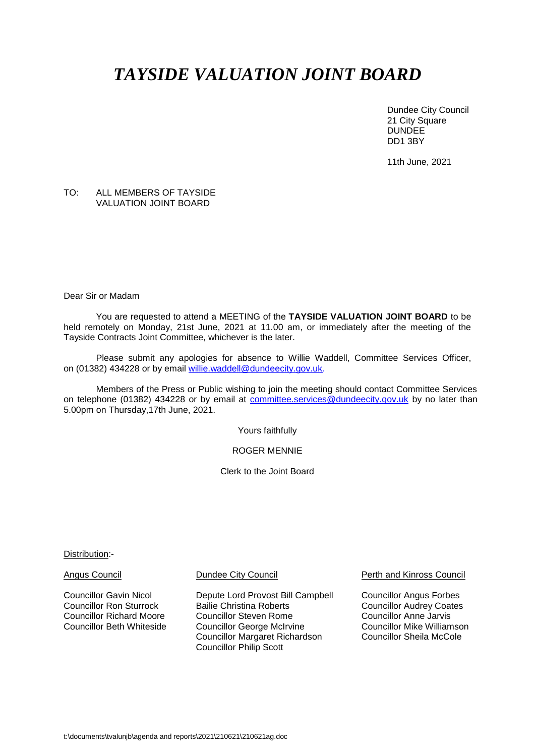# *TAYSIDE VALUATION JOINT BOARD*

Dundee City Council 21 City Square DUNDEE DD1 3BY

11th June, 2021

#### TO: ALL MEMBERS OF TAYSIDE VALUATION JOINT BOARD

Dear Sir or Madam

You are requested to attend a MEETING of the **TAYSIDE VALUATION JOINT BOARD** to be held remotely on Monday, 21st June, 2021 at 11.00 am, or immediately after the meeting of the Tayside Contracts Joint Committee, whichever is the later.

Please submit any apologies for absence to Willie Waddell, Committee Services Officer, on (01382) 434228 or by email [willie.waddell@dundeecity.gov.uk.](mailto:willie.waddell@dundeecity.gov.uk)

Members of the Press or Public wishing to join the meeting should contact Committee Services on telephone (01382) 434228 or by email at [committee.services@dundeecity.gov.uk](mailto:committee.services@dundeecity.gov.uk) by no later than 5.00pm on Thursday,17th June, 2021.

Yours faithfully

#### ROGER MENNIE

Clerk to the Joint Board

Distribution:-

Councillor Gavin Nicol Depute Lord Provost Bill Campbell Councillor Angus Forbes Councillor Ron Sturrock Bailie Christina Roberts<br>
Councillor Richard Moore Councillor Steven Rome Councillor Anne Jarvis Councillor Richard Moore Councillor Steven Rome Councillor Anne Jarvis Councillor George McIrvine Councillor Margaret Richardson Councillor Sheila McCole Councillor Philip Scott

Angus Council **Dundee City Council Perth and Kinross Council Perth and Kinross Council**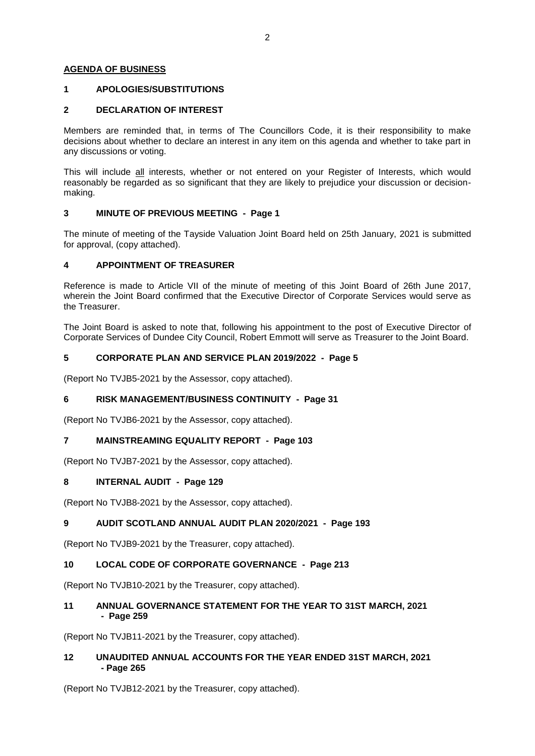#### **AGENDA OF BUSINESS**

## **1 APOLOGIES/SUBSTITUTIONS**

## **2 DECLARATION OF INTEREST**

Members are reminded that, in terms of The Councillors Code, it is their responsibility to make decisions about whether to declare an interest in any item on this agenda and whether to take part in any discussions or voting.

This will include all interests, whether or not entered on your Register of Interests, which would reasonably be regarded as so significant that they are likely to prejudice your discussion or decisionmaking.

#### **3 MINUTE OF PREVIOUS MEETING - Page 1**

The minute of meeting of the Tayside Valuation Joint Board held on 25th January, 2021 is submitted for approval, (copy attached).

#### **4 APPOINTMENT OF TREASURER**

Reference is made to Article VII of the minute of meeting of this Joint Board of 26th June 2017, wherein the Joint Board confirmed that the Executive Director of Corporate Services would serve as the Treasurer.

The Joint Board is asked to note that, following his appointment to the post of Executive Director of Corporate Services of Dundee City Council, Robert Emmott will serve as Treasurer to the Joint Board.

#### **5 CORPORATE PLAN AND SERVICE PLAN 2019/2022 - Page 5**

(Report No TVJB5-2021 by the Assessor, copy attached).

## **6 RISK MANAGEMENT/BUSINESS CONTINUITY - Page 31**

(Report No TVJB6-2021 by the Assessor, copy attached).

## **7 MAINSTREAMING EQUALITY REPORT - Page 103**

(Report No TVJB7-2021 by the Assessor, copy attached).

## **8 INTERNAL AUDIT - Page 129**

(Report No TVJB8-2021 by the Assessor, copy attached).

## **9 AUDIT SCOTLAND ANNUAL AUDIT PLAN 2020/2021 - Page 193**

(Report No TVJB9-2021 by the Treasurer, copy attached).

#### **10 LOCAL CODE OF CORPORATE GOVERNANCE - Page 213**

(Report No TVJB10-2021 by the Treasurer, copy attached).

## **11 ANNUAL GOVERNANCE STATEMENT FOR THE YEAR TO 31ST MARCH, 2021 - Page 259**

(Report No TVJB11-2021 by the Treasurer, copy attached).

## **12 UNAUDITED ANNUAL ACCOUNTS FOR THE YEAR ENDED 31ST MARCH, 2021 - Page 265**

(Report No TVJB12-2021 by the Treasurer, copy attached).